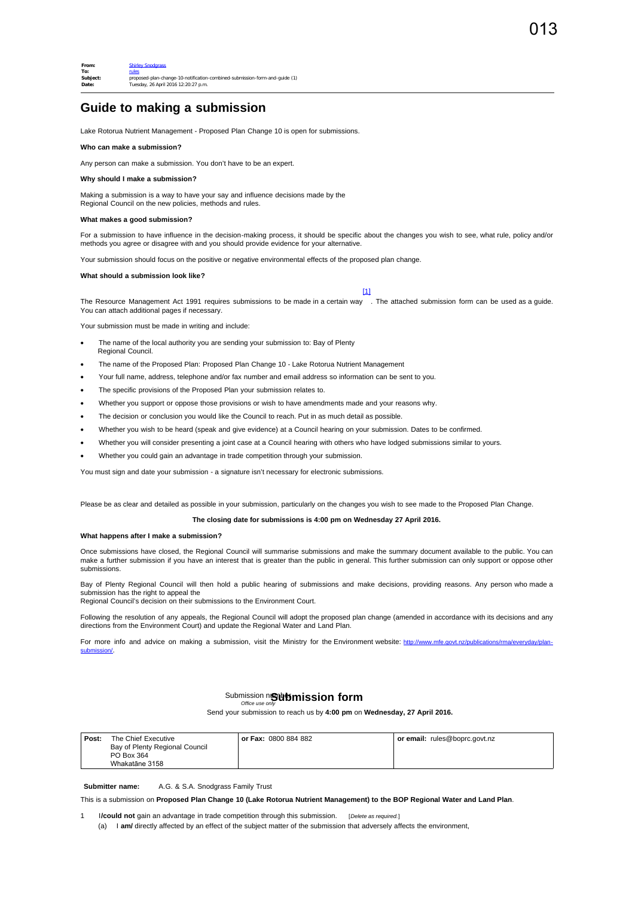## **Guide to making a submission**

Lake Rotorua Nutrient Management - Proposed Plan Change 10 is open for submissions.

### **Who can make a submission?**

Any person can make a submission. You don't have to be an expert.

### **Why should I make a submission?**

Making a submission is a way to have your say and influence decisions made by the Regional Council on the new policies, methods and rules.

#### **What makes a good submission?**

For a submission to have influence in the decision-making process, it should be specific about the changes you wish to see, what rule, policy and/or methods you agree or disagree with and you should provide evidence for your alternative.

Your submission should focus on the positive or negative environmental effects of the proposed plan change.

#### **What should a submission look like?**

 $[1]$ 

<span id="page-0-0"></span>The Resource Management Act 1991 requires submissions to be made in a certain way . The attached submission form can be used as a guide. You can attach additional pages if necessary.

Your submission must be made in writing and include:

- The name of the local authority you are sending your submission to: Bay of Plenty Regional Council.
- The name of the Proposed Plan: Proposed Plan Change 10 Lake Rotorua Nutrient Management
- · Your full name, address, telephone and/or fax number and email address so information can be sent to you.
- The specific provisions of the Proposed Plan your submission relates to.
- Whether you support or oppose those provisions or wish to have amendments made and your reasons why.
- The decision or conclusion you would like the Council to reach. Put in as much detail as possible.
- · Whether you wish to be heard (speak and give evidence) at a Council hearing on your submission. Dates to be confirmed.
- · Whether you will consider presenting a joint case at a Council hearing with others who have lodged submissions similar to yours.
- · Whether you could gain an advantage in trade competition through your submission.

You must sign and date your submission - a signature isn't necessary for electronic submissions.

Please be as clear and detailed as possible in your submission, particularly on the changes you wish to see made to the Proposed Plan Change.

### **The closing date for submissions is 4:00 pm on Wednesday 27 April 2016.**

#### **What happens after I make a submission?**

Once submissions have closed, the Regional Council will summarise submissions and make the summary document available to the public. You can make a further submission if you have an interest that is greater than the public in general. This further submission can only support or oppose other submissions.

Bay of Plenty Regional Council will then hold a public hearing of submissions and make decisions, providing reasons. Any person who made a submission has the right to appeal the

Regional Council's decision on their submissions to the Environment Court.

Following the resolution of any appeals, the Regional Council will adopt the proposed plan change (amended in accordance with its decisions and any directions from the Environment Court) and update the Regional Water and Land Plan.

For more info and advice on making a submission, visit the Ministry for the Environment website: http://www.mfe. sub

# Submission number *Office use only* **Submission form**

Send your submission to reach us by **4:00 pm** on **Wednesday, 27 April 2016.**

| Post: | The Chief Executive            | <b>or Fax:</b> 0800 884 882 | or email: rules@boprc.govt.nz |
|-------|--------------------------------|-----------------------------|-------------------------------|
|       | Bay of Plenty Regional Council |                             |                               |
|       | PO Box 364                     |                             |                               |
|       | Whakatāne 3158                 |                             |                               |

**Submitter name:** A.G. & S.A. Snodgrass Family Trust

This is a submission on **Proposed Plan Change 10 (Lake Rotorua Nutrient Management) to the BOP Regional Water and Land Plan**.

1 I**/could not** gain an advantage in trade competition through this submission. [*Delete as required.*] (a) I **am/** directly affected by an effect of the subject matter of the submission that adversely affects the environment,